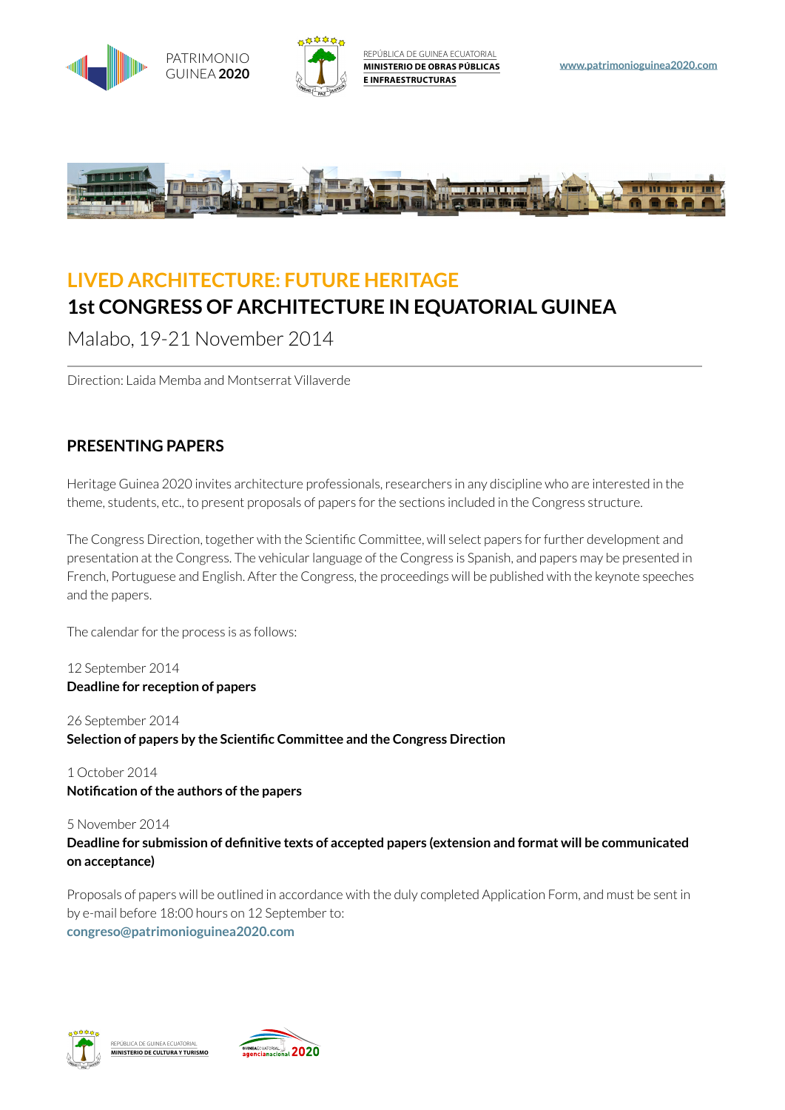

## **LIVED ARCHITECTURE: FUTURE HERITAGE 1st CONGRESS OF ARCHITECTURE IN EQUATORIAL GUINEA**

Malabo, 19-21 November 2014

Direction: Laida Memba and Montserrat Villaverde

### **PRESENTING PAPERS**

Heritage Guinea 2020 invites architecture professionals, researchers in any discipline who are interested in the theme, students, etc., to present proposals of papers for the sections included in the Congress structure.

The Congress Direction, together with the Scientific Committee, will select papers for further development and presentation at the Congress. The vehicular language of the Congress is Spanish, and papers may be presented in French, Portuguese and English. After the Congress, the proceedings will be published with the keynote speeches and the papers.

The calendar for the process is as follows:

12 September 2014 **Deadline for reception of papers** 

26 September 2014 **Selection of papers by the Scientific Committee and the Congress Direction** 

1 October 2014 **Notification of the authors of the papers** 

5 November 2014 Deadline for submission of definitive texts of accepted papers (extension and format will be communicated **on acceptance)** 

Proposals of papers will be outlined in accordance with the duly completed Application Form, and must be sent in [by e-mail before 18:00 hours on 12 September to:](mailto:congreso%40patrimonioguinea2020.com?subject=)  congreso@patrimonioguinea2020.com



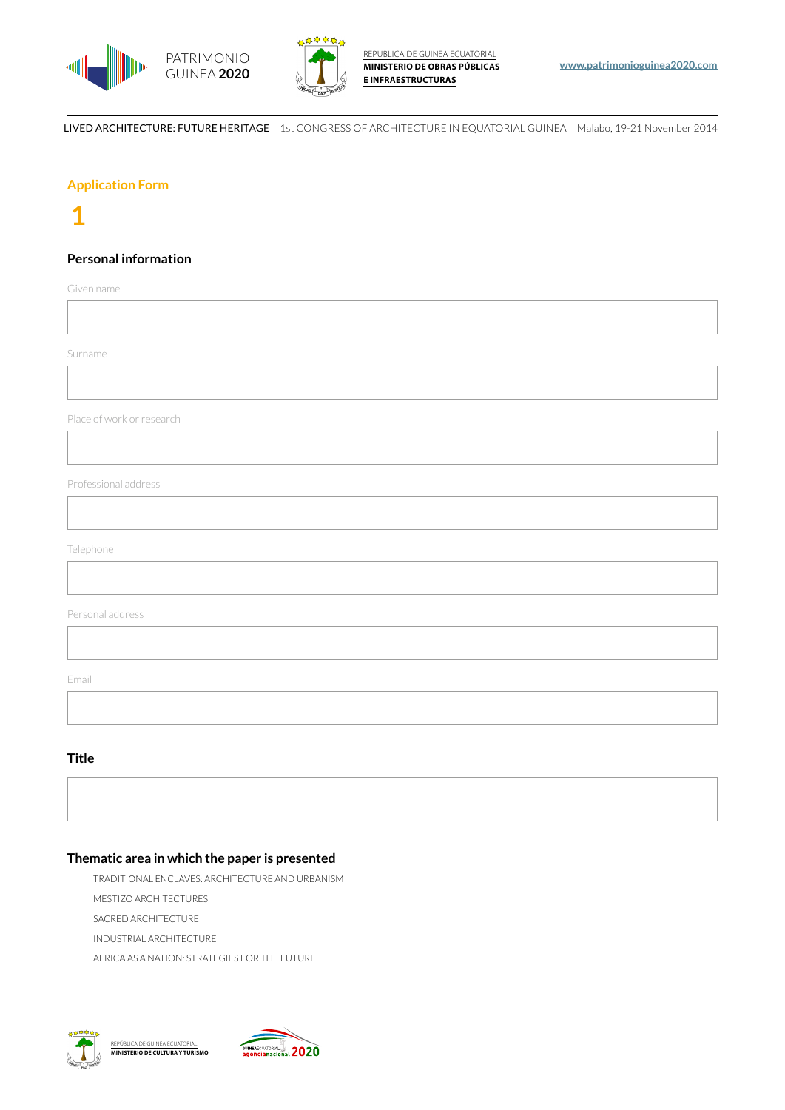



#### **Application Form**

### **1**

### **Personal information**

Given name

Surname

Place of work or research

Professional address

Telephone

Personal address

Email

#### **Title**

### Thematic area in which the paper is presented

TRADITIONAL ENCLAVES: ARCHITECTURE AND URBANISM

MESTIZO ARCHITECTURES

SACRED ARCHITECTURE

INDUSTRIAL ARCHITECTURE

AFRICA AS A NATION: STRATEGIES FOR THE FUTURE



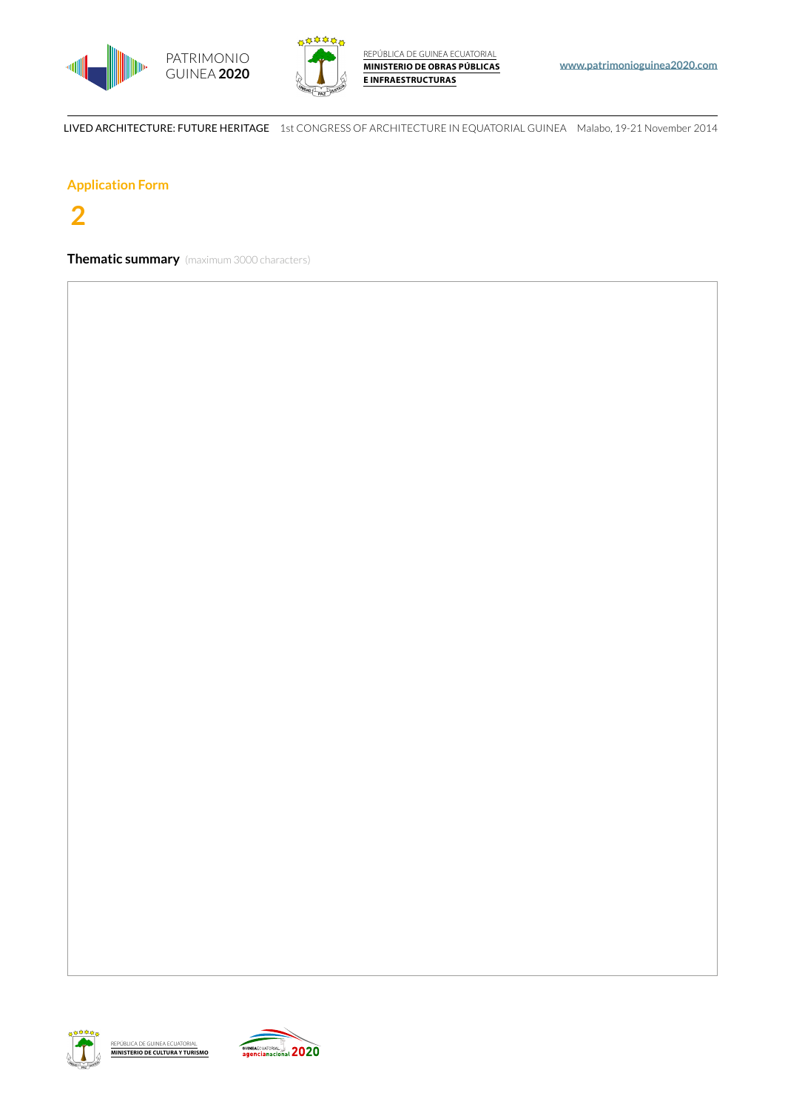



#### **Application Form**

# $\overline{2}$

**Thematic summary** (maximum 3000 characters)



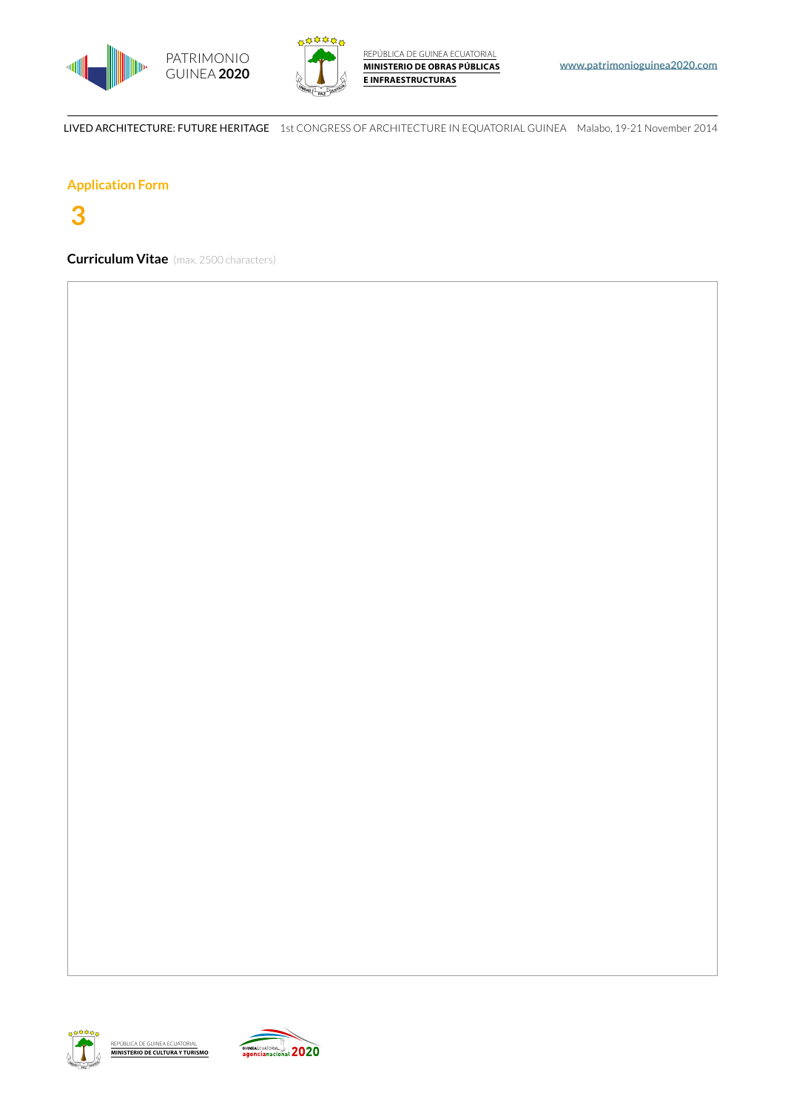



#### **Application Form**

## **3**

**Curriculum Vitae** (max. 2500 characters)



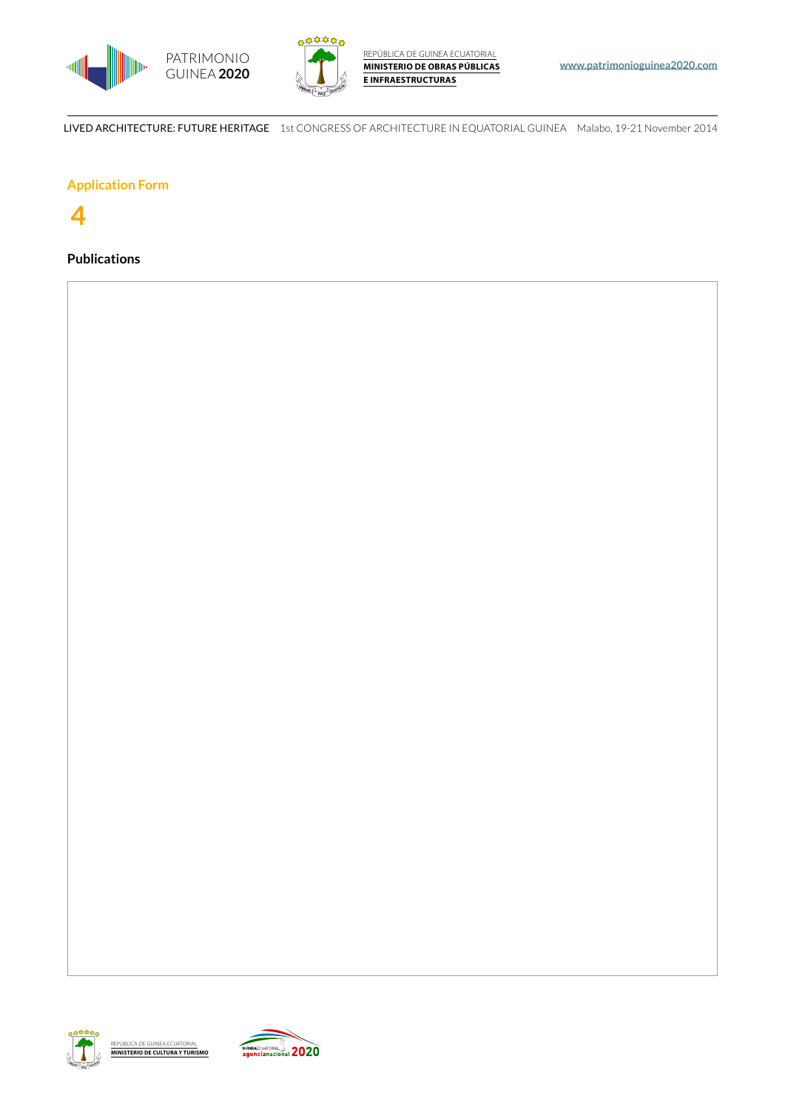



### **Application Form**

### **4**

### **Publications**